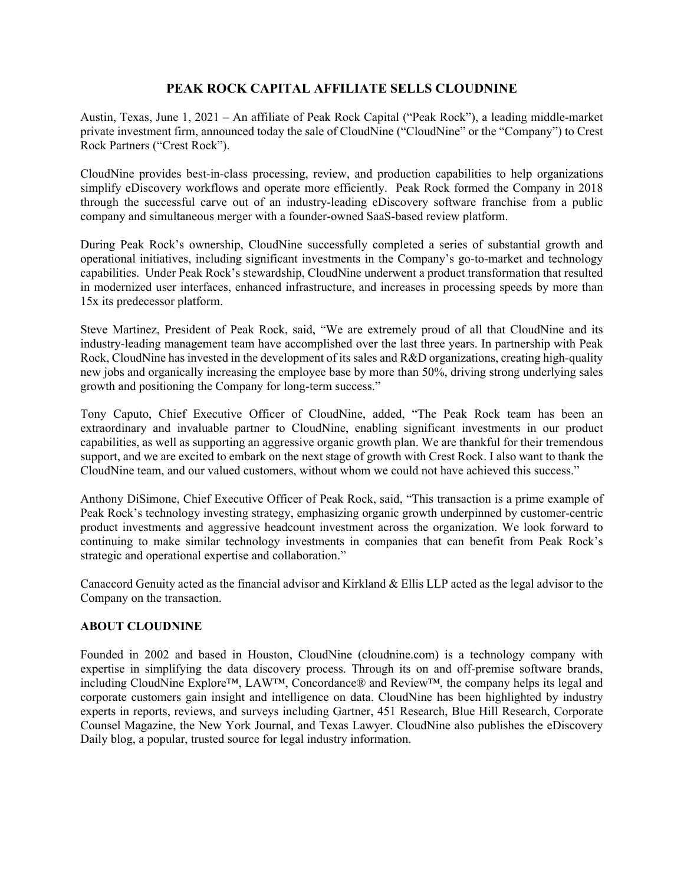## **PEAK ROCK CAPITAL AFFILIATE SELLS CLOUDNINE**

Austin, Texas, June 1, 2021 – An affiliate of Peak Rock Capital ("Peak Rock"), a leading middle-market private investment firm, announced today the sale of CloudNine ("CloudNine" or the "Company") to Crest Rock Partners ("Crest Rock").

CloudNine provides best-in-class processing, review, and production capabilities to help organizations simplify eDiscovery workflows and operate more efficiently. Peak Rock formed the Company in 2018 through the successful carve out of an industry-leading eDiscovery software franchise from a public company and simultaneous merger with a founder-owned SaaS-based review platform.

During Peak Rock's ownership, CloudNine successfully completed a series of substantial growth and operational initiatives, including significant investments in the Company's go-to-market and technology capabilities. Under Peak Rock's stewardship, CloudNine underwent a product transformation that resulted in modernized user interfaces, enhanced infrastructure, and increases in processing speeds by more than 15x its predecessor platform.

Steve Martinez, President of Peak Rock, said, "We are extremely proud of all that CloudNine and its industry-leading management team have accomplished over the last three years. In partnership with Peak Rock, CloudNine has invested in the development of its sales and R&D organizations, creating high-quality new jobs and organically increasing the employee base by more than 50%, driving strong underlying sales growth and positioning the Company for long-term success."

Tony Caputo, Chief Executive Officer of CloudNine, added, "The Peak Rock team has been an extraordinary and invaluable partner to CloudNine, enabling significant investments in our product capabilities, as well as supporting an aggressive organic growth plan. We are thankful for their tremendous support, and we are excited to embark on the next stage of growth with Crest Rock. I also want to thank the CloudNine team, and our valued customers, without whom we could not have achieved this success."

Anthony DiSimone, Chief Executive Officer of Peak Rock, said, "This transaction is a prime example of Peak Rock's technology investing strategy, emphasizing organic growth underpinned by customer-centric product investments and aggressive headcount investment across the organization. We look forward to continuing to make similar technology investments in companies that can benefit from Peak Rock's strategic and operational expertise and collaboration."

Canaccord Genuity acted as the financial advisor and Kirkland & Ellis LLP acted as the legal advisor to the Company on the transaction.

## **ABOUT CLOUDNINE**

Founded in 2002 and based in Houston, CloudNine (cloudnine.com) is a technology company with expertise in simplifying the data discovery process. Through its on and off-premise software brands, including CloudNine Explore™, LAW™, Concordance® and Review™, the company helps its legal and corporate customers gain insight and intelligence on data. CloudNine has been highlighted by industry experts in reports, reviews, and surveys including Gartner, 451 Research, Blue Hill Research, Corporate Counsel Magazine, the New York Journal, and Texas Lawyer. CloudNine also publishes the eDiscovery Daily blog, a popular, trusted source for legal industry information.